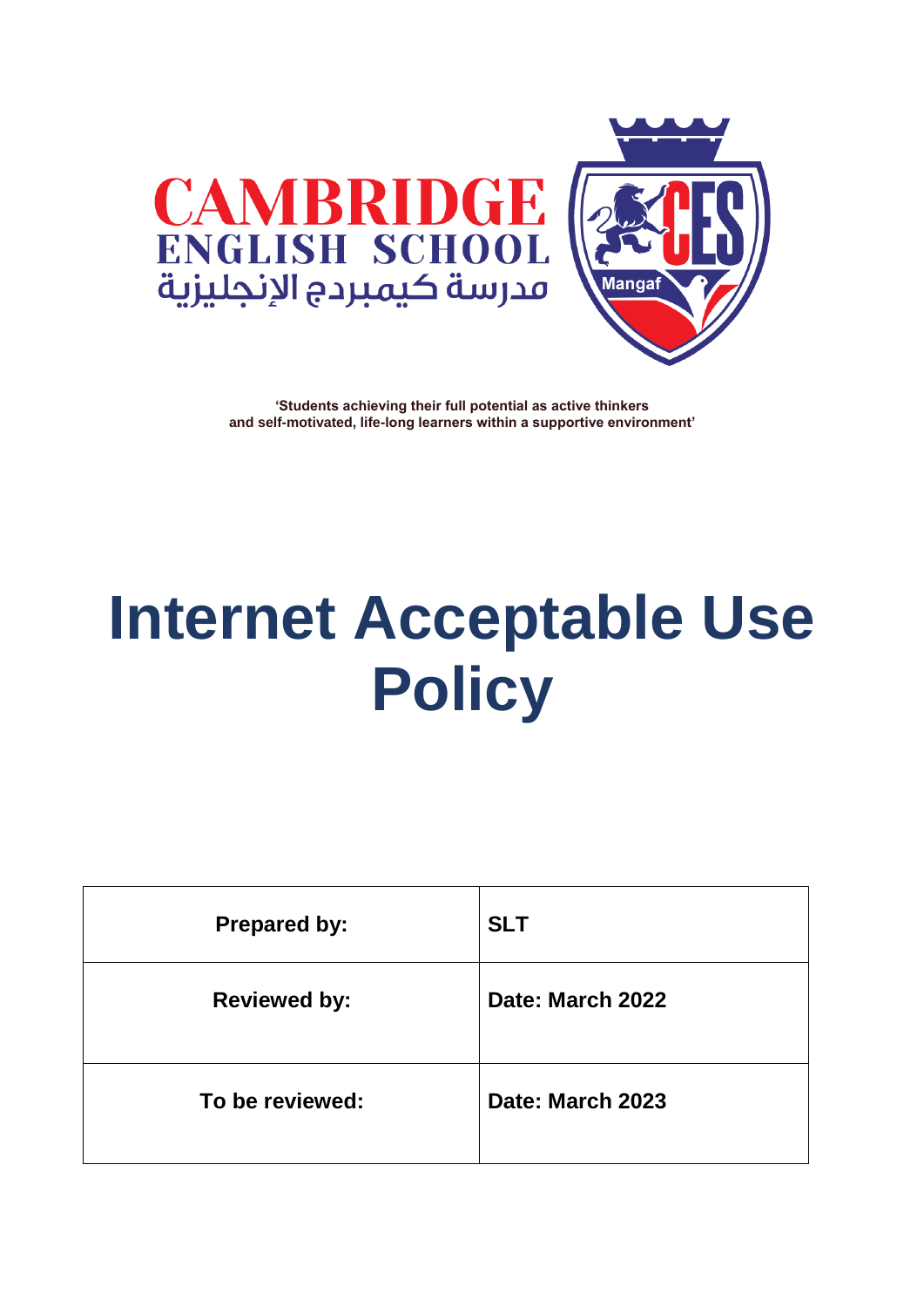



# **Internet Acceptable Use Policy**

| <b>Prepared by:</b> | <b>SLT</b>       |
|---------------------|------------------|
| <b>Reviewed by:</b> | Date: March 2022 |
| To be reviewed:     | Date: March 2023 |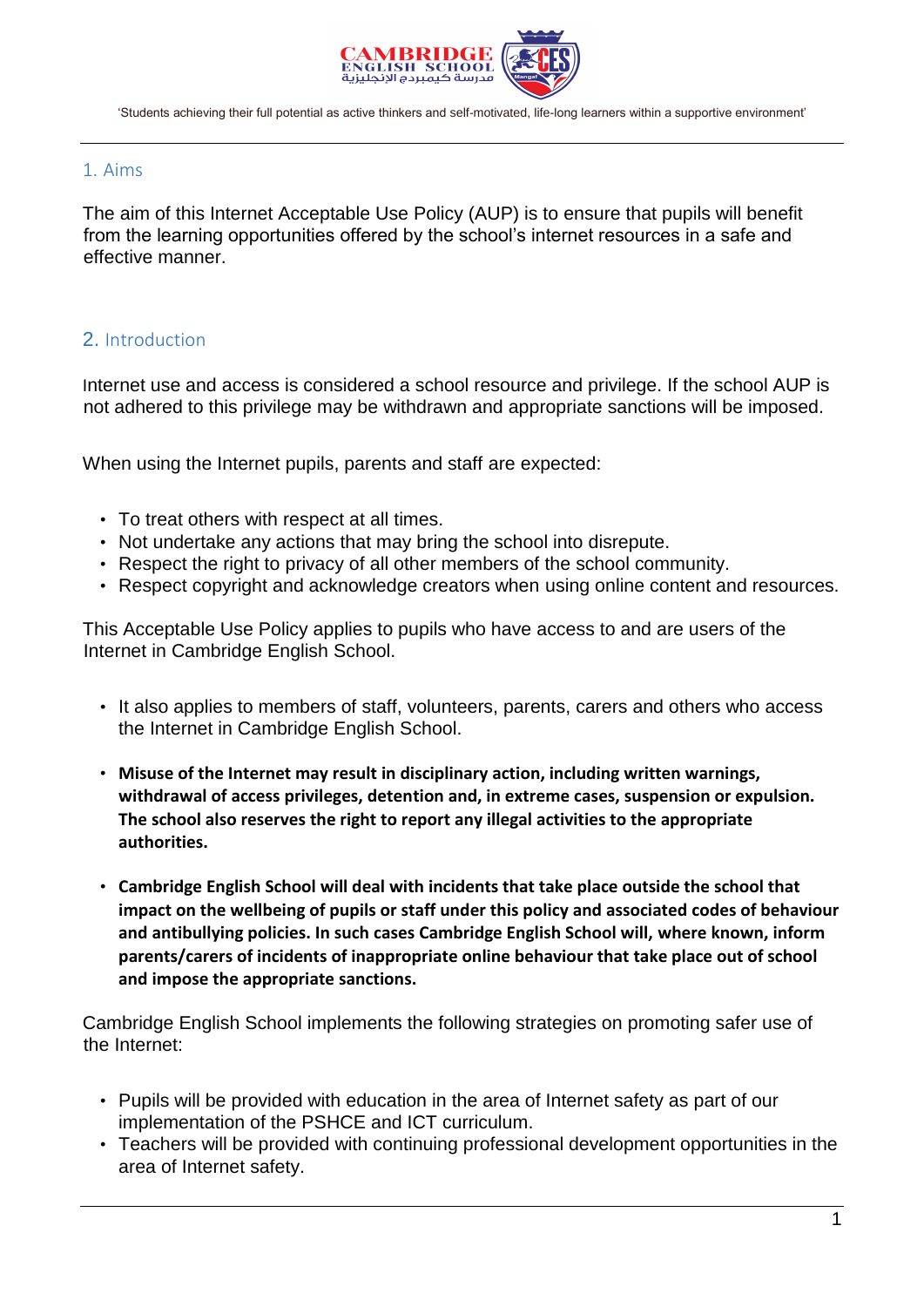

#### 1. Aims

The aim of this Internet Acceptable Use Policy (AUP) is to ensure that pupils will benefit from the learning opportunities offered by the school's internet resources in a safe and effective manner.

# 2. Introduction

Internet use and access is considered a school resource and privilege. If the school AUP is not adhered to this privilege may be withdrawn and appropriate sanctions will be imposed.

When using the Internet pupils, parents and staff are expected:

- To treat others with respect at all times.
- Not undertake any actions that may bring the school into disrepute.
- Respect the right to privacy of all other members of the school community.
- Respect copyright and acknowledge creators when using online content and resources.

This Acceptable Use Policy applies to pupils who have access to and are users of the Internet in Cambridge English School.

- It also applies to members of staff, volunteers, parents, carers and others who access the Internet in Cambridge English School.
- **Misuse of the Internet may result in disciplinary action, including written warnings, withdrawal of access privileges, detention and, in extreme cases, suspension or expulsion. The school also reserves the right to report any illegal activities to the appropriate authorities.**
- **Cambridge English School will deal with incidents that take place outside the school that impact on the wellbeing of pupils or staff under this policy and associated codes of behaviour and antibullying policies. In such cases Cambridge English School will, where known, inform parents/carers of incidents of inappropriate online behaviour that take place out of school and impose the appropriate sanctions.**

Cambridge English School implements the following strategies on promoting safer use of the Internet:

- Pupils will be provided with education in the area of Internet safety as part of our implementation of the PSHCE and ICT curriculum.
- Teachers will be provided with continuing professional development opportunities in the area of Internet safety.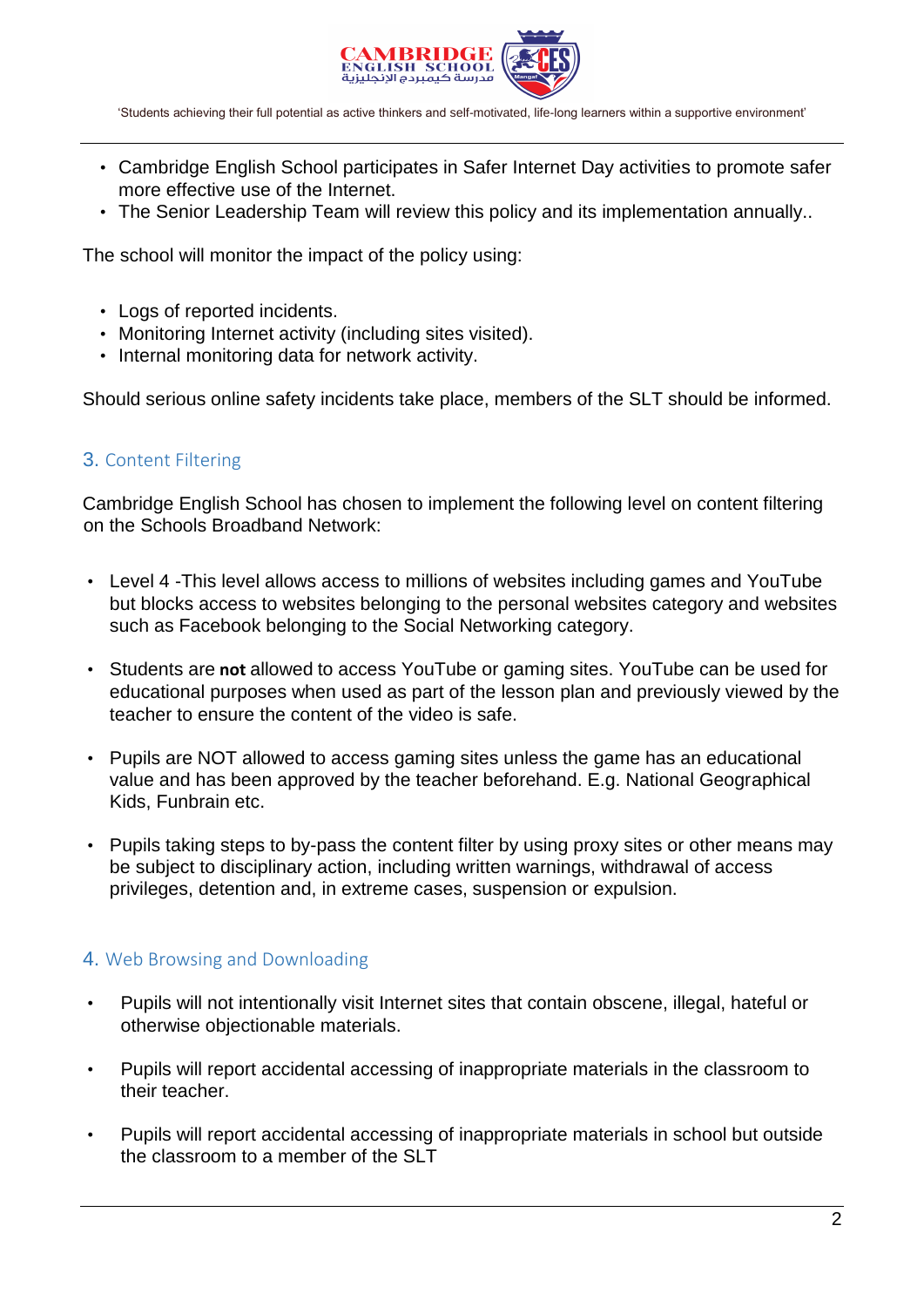

- Cambridge English School participates in Safer Internet Day activities to promote safer more effective use of the Internet.
- The Senior Leadership Team will review this policy and its implementation annually..

The school will monitor the impact of the policy using:

- Logs of reported incidents.
- Monitoring Internet activity (including sites visited).
- Internal monitoring data for network activity.

Should serious online safety incidents take place, members of the SLT should be informed.

#### 3. Content Filtering

Cambridge English School has chosen to implement the following level on content filtering on the Schools Broadband Network:

- Level 4 -This level allows access to millions of websites including games and YouTube but blocks access to websites belonging to the personal websites category and websites such as Facebook belonging to the Social Networking category.
- Students are **not** allowed to access YouTube or gaming sites. YouTube can be used for educational purposes when used as part of the lesson plan and previously viewed by the teacher to ensure the content of the video is safe.
- Pupils are NOT allowed to access gaming sites unless the game has an educational value and has been approved by the teacher beforehand. E.g. National Geographical Kids, Funbrain etc.
- Pupils taking steps to by-pass the content filter by using proxy sites or other means may be subject to disciplinary action, including written warnings, withdrawal of access privileges, detention and, in extreme cases, suspension or expulsion.

#### 4. Web Browsing and Downloading

- Pupils will not intentionally visit Internet sites that contain obscene, illegal, hateful or otherwise objectionable materials.
- Pupils will report accidental accessing of inappropriate materials in the classroom to their teacher.
- Pupils will report accidental accessing of inappropriate materials in school but outside the classroom to a member of the SLT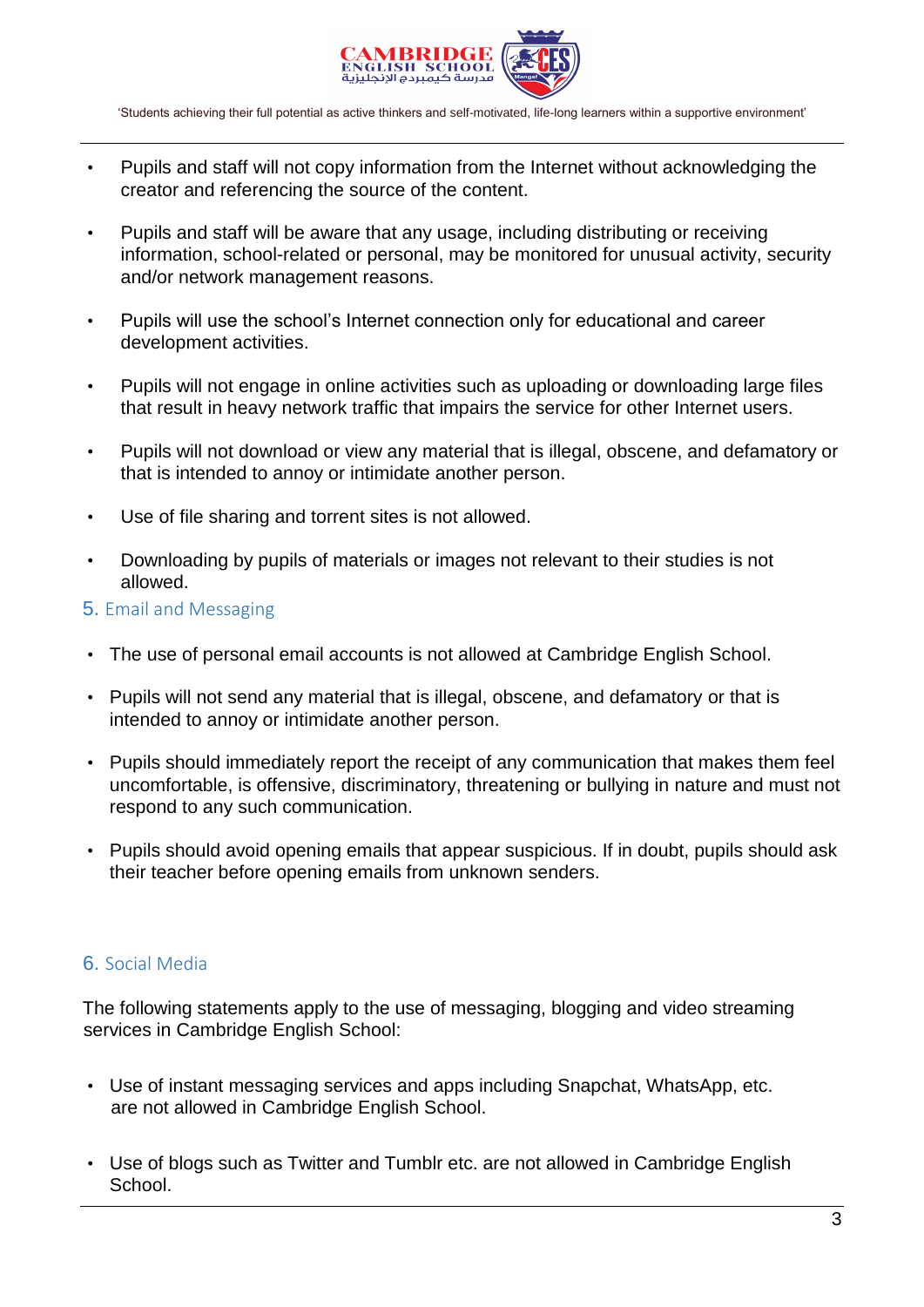

- Pupils and staff will not copy information from the Internet without acknowledging the creator and referencing the source of the content.
- Pupils and staff will be aware that any usage, including distributing or receiving information, school-related or personal, may be monitored for unusual activity, security and/or network management reasons.
- Pupils will use the school's Internet connection only for educational and career development activities.
- Pupils will not engage in online activities such as uploading or downloading large files that result in heavy network traffic that impairs the service for other Internet users.
- Pupils will not download or view any material that is illegal, obscene, and defamatory or that is intended to annoy or intimidate another person.
- Use of file sharing and torrent sites is not allowed.
- Downloading by pupils of materials or images not relevant to their studies is not allowed.
- 5. Email and Messaging
- The use of personal email accounts is not allowed at Cambridge English School.
- Pupils will not send any material that is illegal, obscene, and defamatory or that is intended to annoy or intimidate another person.
- Pupils should immediately report the receipt of any communication that makes them feel uncomfortable, is offensive, discriminatory, threatening or bullying in nature and must not respond to any such communication.
- Pupils should avoid opening emails that appear suspicious. If in doubt, pupils should ask their teacher before opening emails from unknown senders.

# 6. Social Media

The following statements apply to the use of messaging, blogging and video streaming services in Cambridge English School:

- Use of instant messaging services and apps including Snapchat, WhatsApp, etc. are not allowed in Cambridge English School.
- Use of blogs such as Twitter and Tumblr etc. are not allowed in Cambridge English School.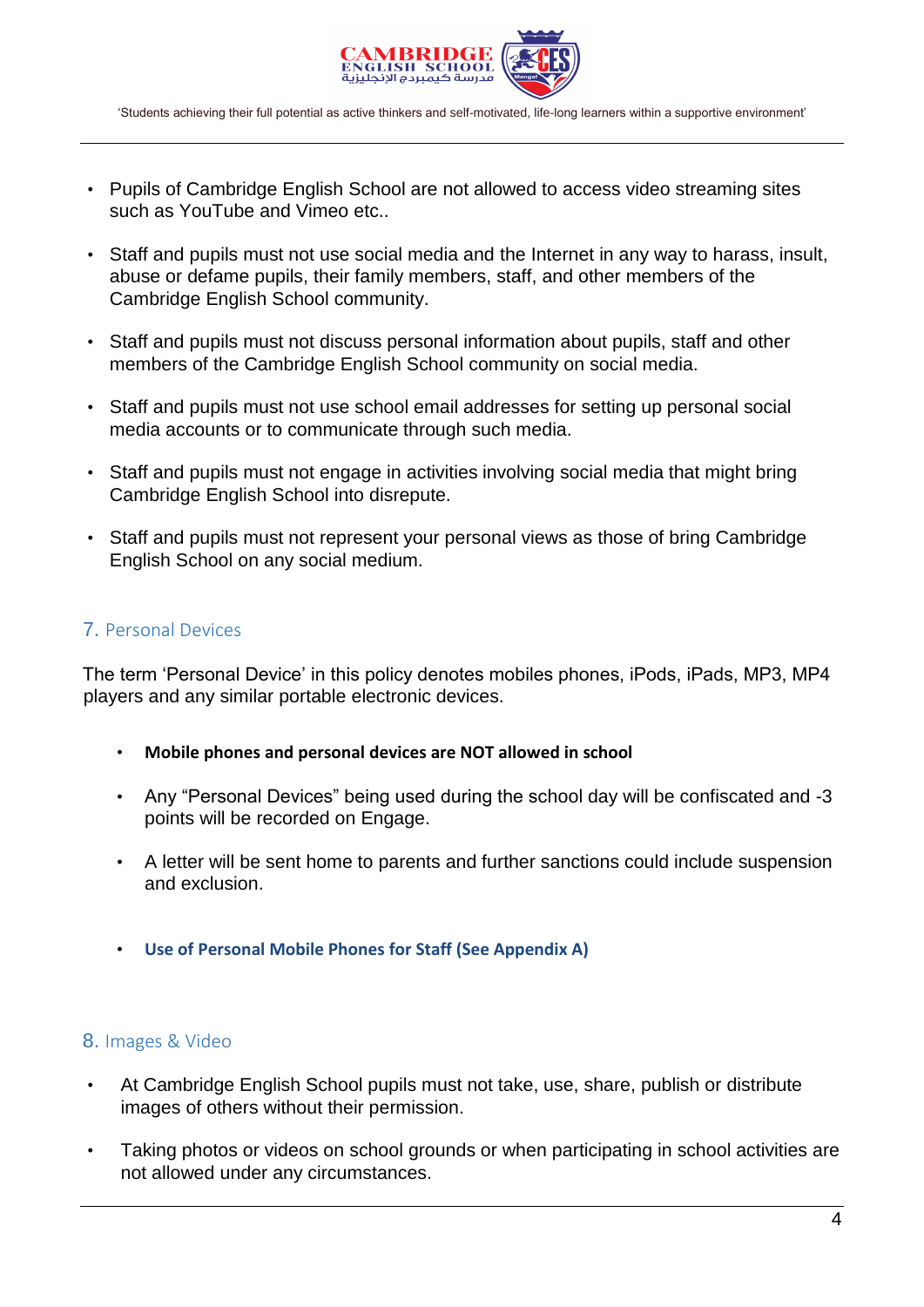

- Pupils of Cambridge English School are not allowed to access video streaming sites such as YouTube and Vimeo etc..
- Staff and pupils must not use social media and the Internet in any way to harass, insult, abuse or defame pupils, their family members, staff, and other members of the Cambridge English School community.
- Staff and pupils must not discuss personal information about pupils, staff and other members of the Cambridge English School community on social media.
- Staff and pupils must not use school email addresses for setting up personal social media accounts or to communicate through such media.
- Staff and pupils must not engage in activities involving social media that might bring Cambridge English School into disrepute.
- Staff and pupils must not represent your personal views as those of bring Cambridge English School on any social medium.

# 7. Personal Devices

The term 'Personal Device' in this policy denotes mobiles phones, iPods, iPads, MP3, MP4 players and any similar portable electronic devices.

- **Mobile phones and personal devices are NOT allowed in school**
- Any "Personal Devices" being used during the school day will be confiscated and -3 points will be recorded on Engage.
- A letter will be sent home to parents and further sanctions could include suspension and exclusion.
- **Use of Personal Mobile Phones for Staff (See Appendix A)**

#### 8. Images & Video

- At Cambridge English School pupils must not take, use, share, publish or distribute images of others without their permission.
- Taking photos or videos on school grounds or when participating in school activities are not allowed under any circumstances.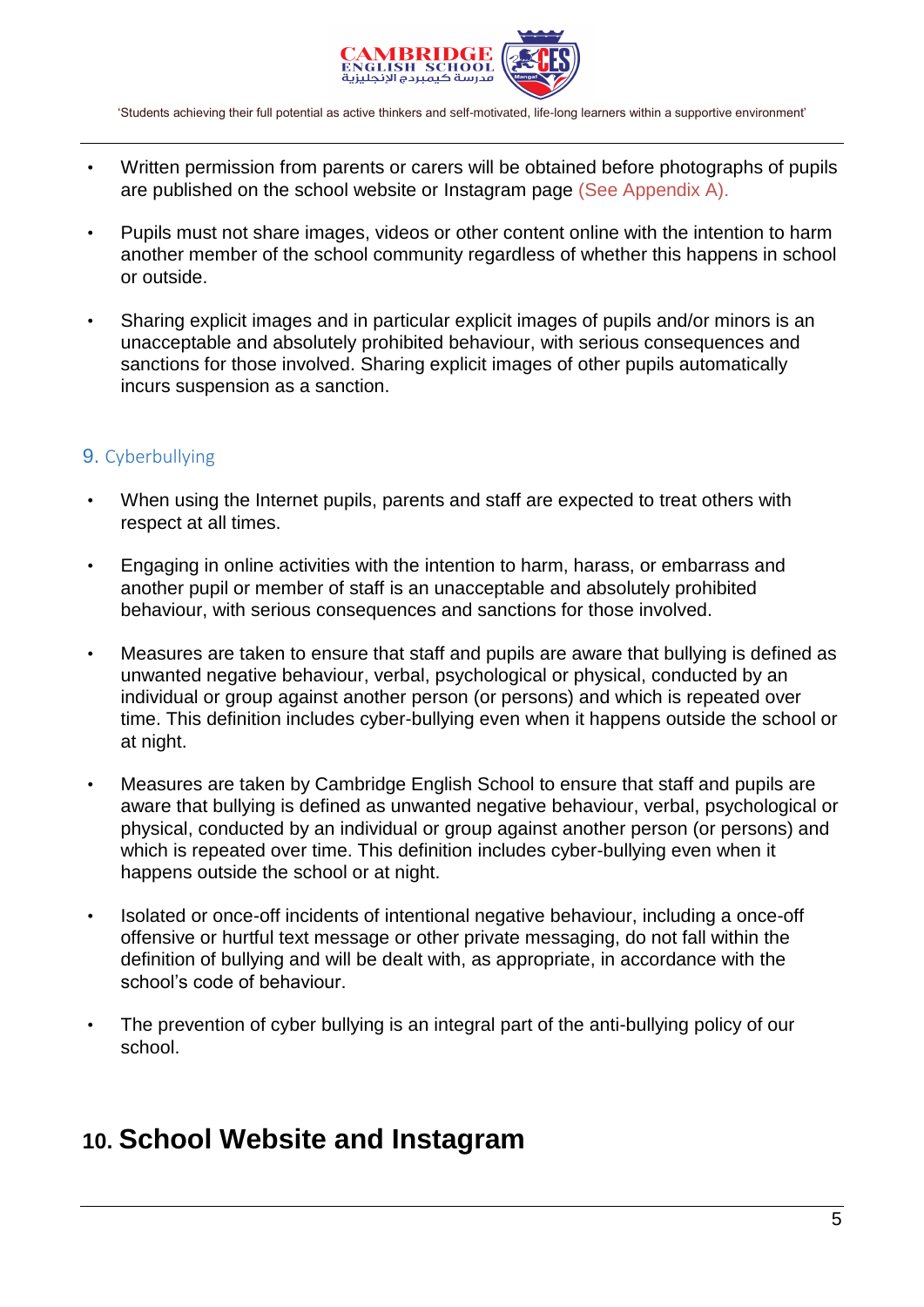

- Written permission from parents or carers will be obtained before photographs of pupils are published on the school website or Instagram page (See Appendix A).
- Pupils must not share images, videos or other content online with the intention to harm another member of the school community regardless of whether this happens in school or outside.
- Sharing explicit images and in particular explicit images of pupils and/or minors is an unacceptable and absolutely prohibited behaviour, with serious consequences and sanctions for those involved. Sharing explicit images of other pupils automatically incurs suspension as a sanction.

# 9. Cyberbullying

- When using the Internet pupils, parents and staff are expected to treat others with respect at all times.
- Engaging in online activities with the intention to harm, harass, or embarrass and another pupil or member of staff is an unacceptable and absolutely prohibited behaviour, with serious consequences and sanctions for those involved.
- Measures are taken to ensure that staff and pupils are aware that bullying is defined as unwanted negative behaviour, verbal, psychological or physical, conducted by an individual or group against another person (or persons) and which is repeated over time. This definition includes cyber-bullying even when it happens outside the school or at night.
- Measures are taken by Cambridge English School to ensure that staff and pupils are aware that bullying is defined as unwanted negative behaviour, verbal, psychological or physical, conducted by an individual or group against another person (or persons) and which is repeated over time. This definition includes cyber-bullying even when it happens outside the school or at night.
- Isolated or once-off incidents of intentional negative behaviour, including a once-off offensive or hurtful text message or other private messaging, do not fall within the definition of bullying and will be dealt with, as appropriate, in accordance with the school's code of behaviour.
- The prevention of cyber bullying is an integral part of the anti-bullying policy of our school.

# **10. School Website and Instagram**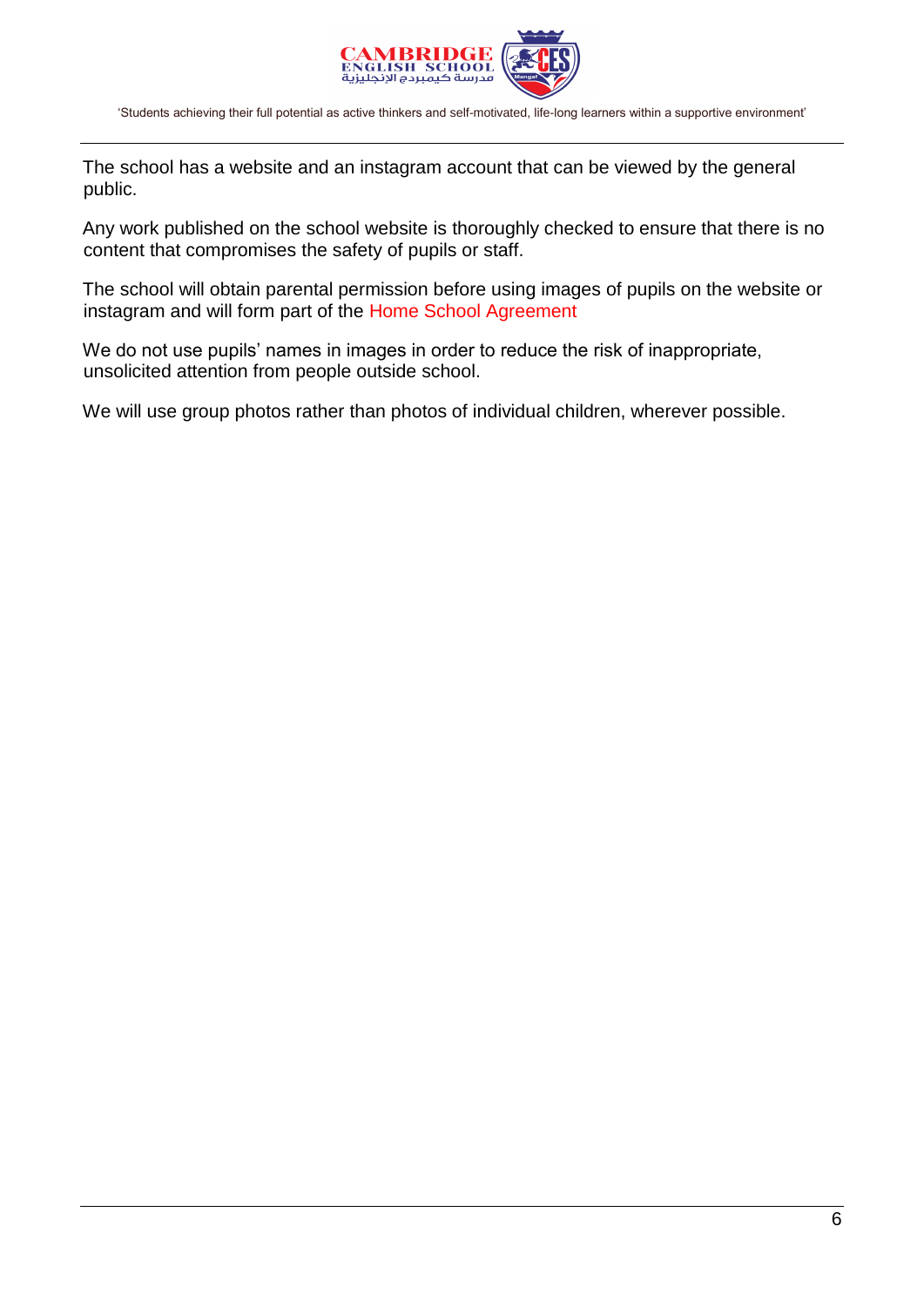

The school has a website and an instagram account that can be viewed by the general public.

Any work published on the school website is thoroughly checked to ensure that there is no content that compromises the safety of pupils or staff.

The school will obtain parental permission before using images of pupils on the website or instagram and will form part of the Home School Agreement

We do not use pupils' names in images in order to reduce the risk of inappropriate, unsolicited attention from people outside school.

We will use group photos rather than photos of individual children, wherever possible.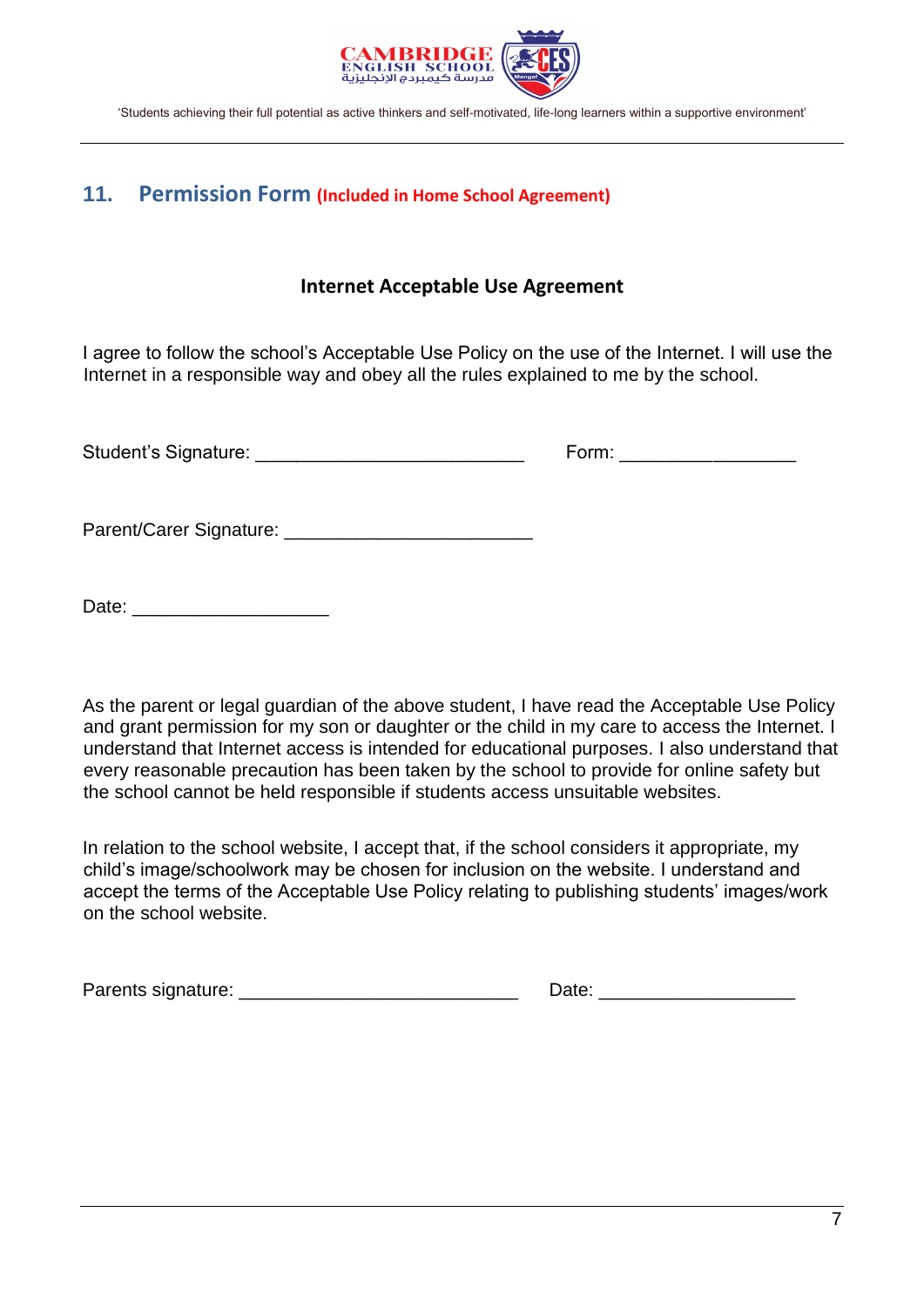

# **11. Permission Form (Included in Home School Agreement)**

# **Internet Acceptable Use Agreement**

I agree to follow the school's Acceptable Use Policy on the use of the Internet. I will use the Internet in a responsible way and obey all the rules explained to me by the school.

| Student's Signature: | −orm <sup>.</sup> |
|----------------------|-------------------|
|                      |                   |

Parent/Carer Signature: \_\_\_\_\_\_\_\_\_\_\_\_\_\_\_\_\_\_\_\_\_\_\_\_

Date:  $\Box$ 

As the parent or legal guardian of the above student, I have read the Acceptable Use Policy and grant permission for my son or daughter or the child in my care to access the Internet. I understand that Internet access is intended for educational purposes. I also understand that every reasonable precaution has been taken by the school to provide for online safety but the school cannot be held responsible if students access unsuitable websites.

In relation to the school website, I accept that, if the school considers it appropriate, my child's image/schoolwork may be chosen for inclusion on the website. I understand and accept the terms of the Acceptable Use Policy relating to publishing students' images/work on the school website.

Parents signature: **Example 2018**